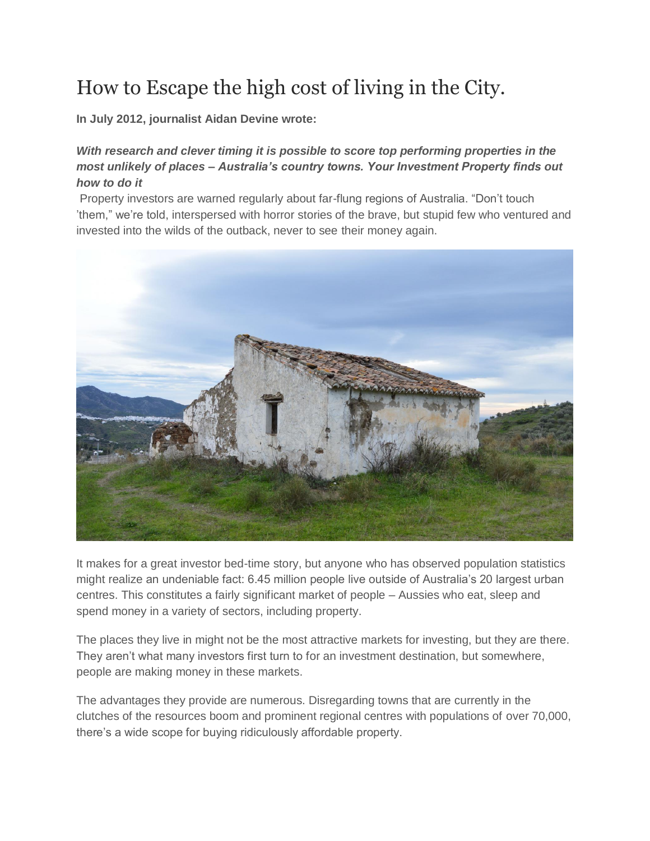# How to Escape the high cost of living in the City.

**In July 2012, journalist Aidan Devine wrote:**

### *With research and clever timing it is possible to score top performing properties in the most unlikely of places – Australia's country towns. Your Investment Property finds out how to do it*

Property investors are warned regularly about far-flung regions of Australia. "Don't touch 'them," we're told, interspersed with horror stories of the brave, but stupid few who ventured and invested into the wilds of the outback, never to see their money again.



It makes for a great investor bed-time story, but anyone who has observed population statistics might realize an undeniable fact: 6.45 million people live outside of Australia's 20 largest urban centres. This constitutes a fairly significant market of people – Aussies who eat, sleep and spend money in a variety of sectors, including property.

The places they live in might not be the most attractive markets for investing, but they are there. They aren't what many investors first turn to for an investment destination, but somewhere, people are making money in these markets.

The advantages they provide are numerous. Disregarding towns that are currently in the clutches of the resources boom and prominent regional centres with populations of over 70,000, there's a wide scope for buying ridiculously affordable property.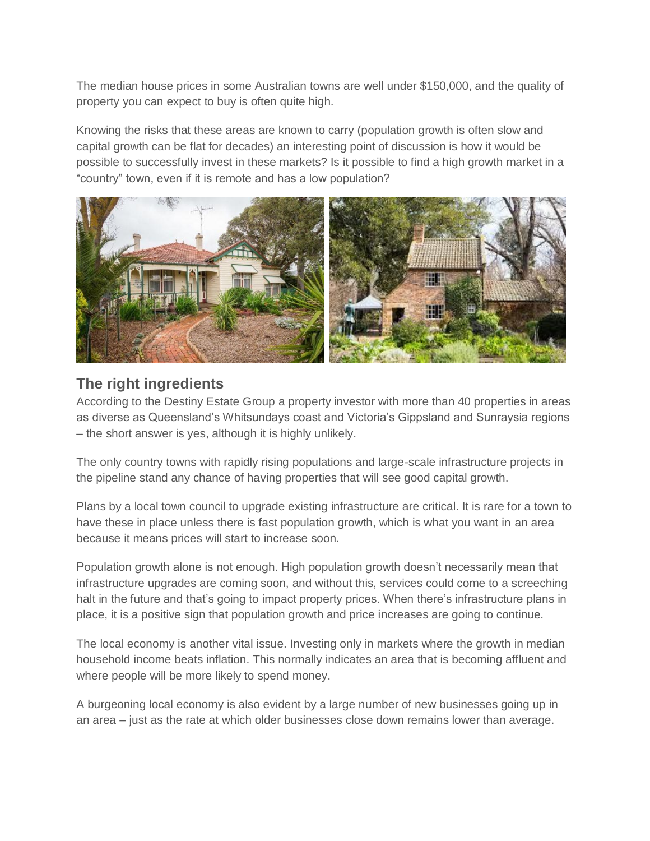The median house prices in some Australian towns are well under \$150,000, and the quality of property you can expect to buy is often quite high.

Knowing the risks that these areas are known to carry (population growth is often slow and capital growth can be flat for decades) an interesting point of discussion is how it would be possible to successfully invest in these markets? Is it possible to find a high growth market in a "country" town, even if it is remote and has a low population?



### **The right ingredients**

According to the Destiny Estate Group a property investor with more than 40 properties in areas as diverse as Queensland's Whitsundays coast and Victoria's Gippsland and Sunraysia regions – the short answer is yes, although it is highly unlikely.

The only country towns with rapidly rising populations and large-scale infrastructure projects in the pipeline stand any chance of having properties that will see good capital growth.

Plans by a local town council to upgrade existing infrastructure are critical. It is rare for a town to have these in place unless there is fast population growth, which is what you want in an area because it means prices will start to increase soon.

Population growth alone is not enough. High population growth doesn't necessarily mean that infrastructure upgrades are coming soon, and without this, services could come to a screeching halt in the future and that's going to impact property prices. When there's infrastructure plans in place, it is a positive sign that population growth and price increases are going to continue.

The local economy is another vital issue. Investing only in markets where the growth in median household income beats inflation. This normally indicates an area that is becoming affluent and where people will be more likely to spend money.

A burgeoning local economy is also evident by a large number of new businesses going up in an area – just as the rate at which older businesses close down remains lower than average.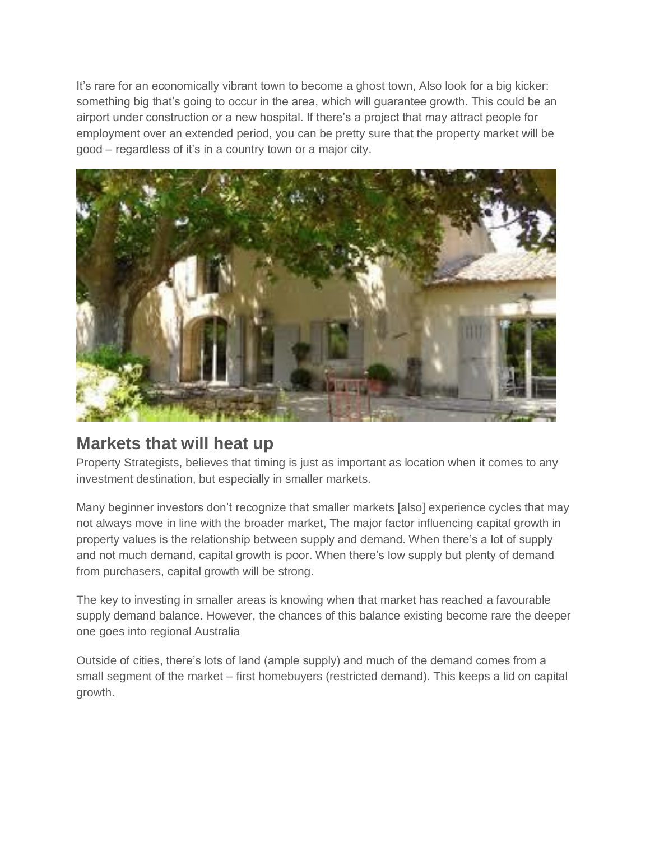It's rare for an economically vibrant town to become a ghost town, Also look for a big kicker: something big that's going to occur in the area, which will guarantee growth. This could be an airport under construction or a new hospital. If there's a project that may attract people for employment over an extended period, you can be pretty sure that the property market will be good – regardless of it's in a country town or a major city.



## **Markets that will heat up**

Property Strategists, believes that timing is just as important as location when it comes to any investment destination, but especially in smaller markets.

Many beginner investors don't recognize that smaller markets [also] experience cycles that may not always move in line with the broader market, The major factor influencing capital growth in property values is the relationship between supply and demand. When there's a lot of supply and not much demand, capital growth is poor. When there's low supply but plenty of demand from purchasers, capital growth will be strong.

The key to investing in smaller areas is knowing when that market has reached a favourable supply demand balance. However, the chances of this balance existing become rare the deeper one goes into regional Australia

Outside of cities, there's lots of land (ample supply) and much of the demand comes from a small segment of the market – first homebuyers (restricted demand). This keeps a lid on capital growth.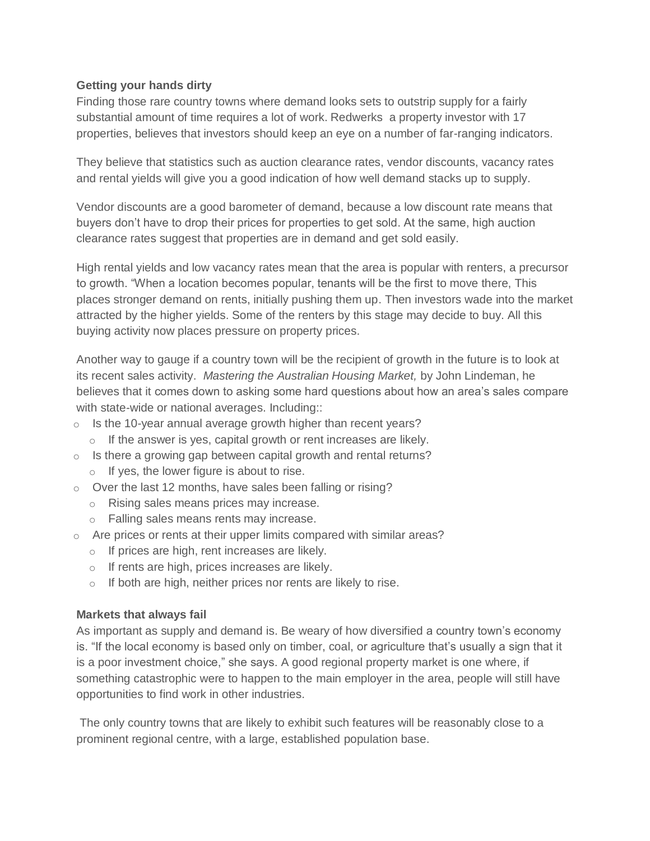### **Getting your hands dirty**

Finding those rare country towns where demand looks sets to outstrip supply for a fairly substantial amount of time requires a lot of work. Redwerks a property investor with 17 properties, believes that investors should keep an eye on a number of far-ranging indicators.

They believe that statistics such as auction clearance rates, vendor discounts, vacancy rates and rental yields will give you a good indication of how well demand stacks up to supply.

Vendor discounts are a good barometer of demand, because a low discount rate means that buyers don't have to drop their prices for properties to get sold. At the same, high auction clearance rates suggest that properties are in demand and get sold easily.

High rental yields and low vacancy rates mean that the area is popular with renters, a precursor to growth. "When a location becomes popular, tenants will be the first to move there, This places stronger demand on rents, initially pushing them up. Then investors wade into the market attracted by the higher yields. Some of the renters by this stage may decide to buy. All this buying activity now places pressure on property prices.

Another way to gauge if a country town will be the recipient of growth in the future is to look at its recent sales activity. *Mastering the Australian Housing Market,* by John Lindeman, he believes that it comes down to asking some hard questions about how an area's sales compare with state-wide or national averages. Including::

- $\circ$  Is the 10-year annual average growth higher than recent years?
	- o If the answer is yes, capital growth or rent increases are likely.
- $\circ$  Is there a growing gap between capital growth and rental returns?  $\circ$  If yes, the lower figure is about to rise.
- o Over the last 12 months, have sales been falling or rising?
	- o Rising sales means prices may increase.
	- o Falling sales means rents may increase.
- $\circ$  Are prices or rents at their upper limits compared with similar areas?
	- o If prices are high, rent increases are likely.
	- o If rents are high, prices increases are likely.
	- $\circ$  If both are high, neither prices nor rents are likely to rise.

#### **Markets that always fail**

As important as supply and demand is. Be weary of how diversified a country town's economy is. "If the local economy is based only on timber, coal, or agriculture that's usually a sign that it is a poor investment choice," she says. A good regional property market is one where, if something catastrophic were to happen to the main employer in the area, people will still have opportunities to find work in other industries.

The only country towns that are likely to exhibit such features will be reasonably close to a prominent regional centre, with a large, established population base.